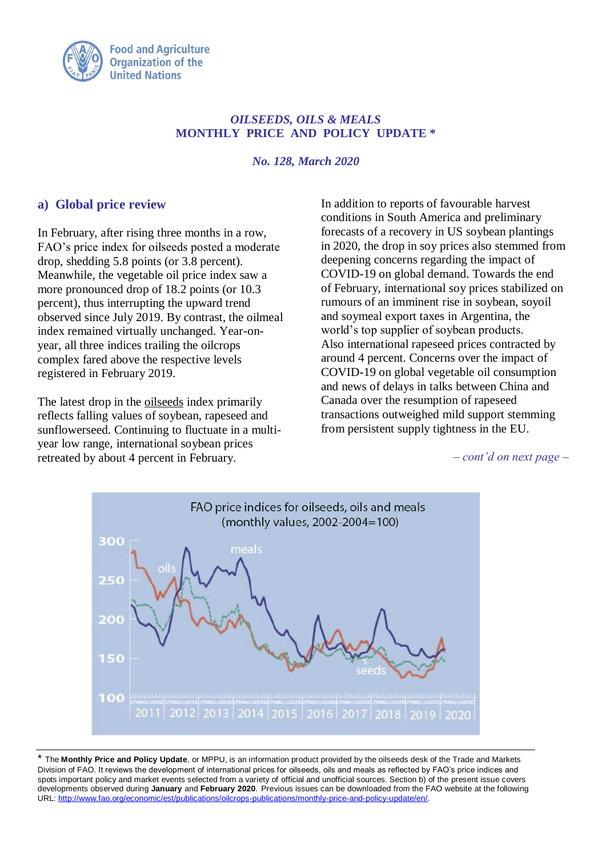

### *OILSEEDS, OILS & MEALS* **MONTHLY PRICE AND POLICY UPDATE \***

*No. 128, March 2020*

## **a) Global price review**

In February, after rising three months in a row, FAO's price index for oilseeds posted a moderate drop, shedding 5.8 points (or 3.8 percent). Meanwhile, the vegetable oil price index saw a more pronounced drop of 18.2 points (or 10.3 percent), thus interrupting the upward trend observed since July 2019. By contrast, the oilmeal index remained virtually unchanged. Year-onyear, all three indices trailing the oilcrops complex fared above the respective levels registered in February 2019.

The latest drop in the oilseeds index primarily reflects falling values of soybean, rapeseed and sunflowerseed. Continuing to fluctuate in a multiyear low range, international soybean prices retreated by about 4 percent in February.

In addition to reports of favourable harvest conditions in South America and preliminary forecasts of a recovery in US soybean plantings in 2020, the drop in soy prices also stemmed from deepening concerns regarding the impact of COVID-19 on global demand. Towards the end of February, international soy prices stabilized on rumours of an imminent rise in soybean, soyoil and soymeal export taxes in Argentina, the world's top supplier of soybean products. Also international rapeseed prices contracted by around 4 percent. Concerns over the impact of COVID-19 on global vegetable oil consumption and news of delays in talks between China and Canada over the resumption of rapeseed transactions outweighed mild support stemming from persistent supply tightness in the EU.

*– cont'd on next page –*



\* The **Monthly Price and Policy Update**, or MPPU, is an information product provided by the oilseeds desk of the Trade and Markets Division of FAO. It reviews the development of international prices for oilseeds, oils and meals as reflected by FAO's price indices and spots important policy and market events selected from a variety of official and unofficial sources. Section b) of the present issue covers developments observed during **January** and **February 2020**. Previous issues can be downloaded from the FAO website at the following URL: [http://www.fao.org/economic/est/publications/oilcrops-publications/monthly-price-and-policy-update/en/.](http://www.fao.org/economic/est/publications/oilcrops-publications/monthly-price-and-policy-update/en/)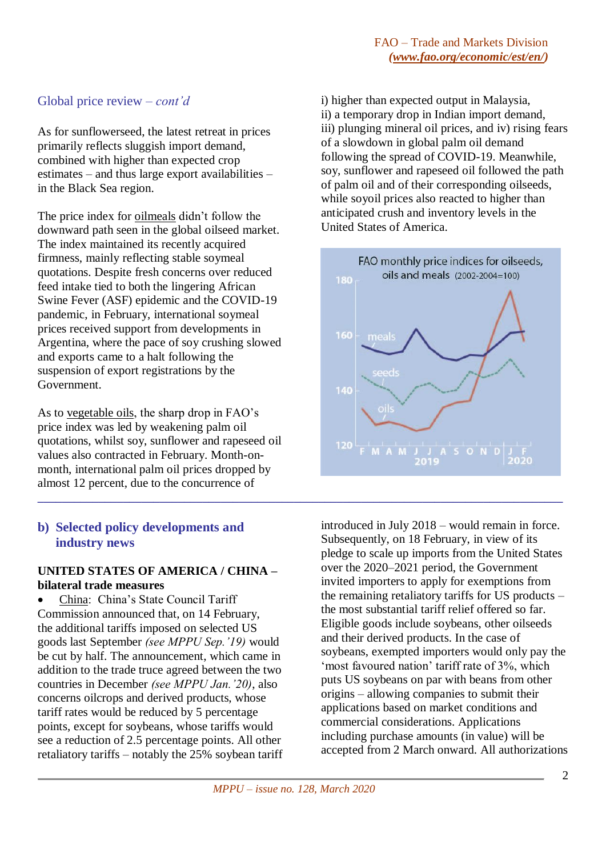# Global price review *– cont'd*

As for sunflowerseed, the latest retreat in prices primarily reflects sluggish import demand, combined with higher than expected crop estimates – and thus large export availabilities – in the Black Sea region.

The price index for oilmeals didn't follow the downward path seen in the global oilseed market. The index maintained its recently acquired firmness, mainly reflecting stable soymeal quotations. Despite fresh concerns over reduced feed intake tied to both the lingering African Swine Fever (ASF) epidemic and the COVID-19 pandemic, in February, international soymeal prices received support from developments in Argentina, where the pace of soy crushing slowed and exports came to a halt following the suspension of export registrations by the Government.

As to vegetable oils, the sharp drop in FAO's price index was led by weakening palm oil quotations, whilst soy, sunflower and rapeseed oil values also contracted in February. Month-onmonth, international palm oil prices dropped by almost 12 percent, due to the concurrence of

## **b) Selected policy developments and industry news**

### **UNITED STATES OF AMERICA / CHINA – bilateral trade measures**

 China: China's State Council Tariff Commission announced that, on 14 February, the additional tariffs imposed on selected US goods last September *(see MPPU Sep.'19)* would be cut by half. The announcement, which came in addition to the trade truce agreed between the two countries in December *(see MPPU Jan.'20)*, also concerns oilcrops and derived products, whose tariff rates would be reduced by 5 percentage points, except for soybeans, whose tariffs would see a reduction of 2.5 percentage points. All other retaliatory tariffs – notably the 25% soybean tariff i) higher than expected output in Malaysia, ii) a temporary drop in Indian import demand, iii) plunging mineral oil prices, and iv) rising fears of a slowdown in global palm oil demand following the spread of COVID-19. Meanwhile, soy, sunflower and rapeseed oil followed the path of palm oil and of their corresponding oilseeds, while soyoil prices also reacted to higher than anticipated crush and inventory levels in the United States of America.



introduced in July 2018 – would remain in force. Subsequently, on 18 February, in view of its pledge to scale up imports from the United States over the 2020–2021 period, the Government invited importers to apply for exemptions from the remaining retaliatory tariffs for US products – the most substantial tariff relief offered so far. Eligible goods include soybeans, other oilseeds and their derived products. In the case of soybeans, exempted importers would only pay the 'most favoured nation' tariff rate of 3%, which puts US soybeans on par with beans from other origins – allowing companies to submit their applications based on market conditions and commercial considerations. Applications including purchase amounts (in value) will be accepted from 2 March onward. All authorizations

**\_\_\_\_\_\_\_\_\_\_\_\_\_\_\_\_\_\_\_\_\_\_\_\_\_\_\_\_\_\_\_\_\_\_\_\_\_\_\_\_\_\_\_\_\_\_\_\_\_\_\_\_\_\_\_\_\_\_\_\_\_\_\_\_\_\_\_\_\_\_\_\_\_\_\_\_\_\_\_\_\_\_\_\_\_\_**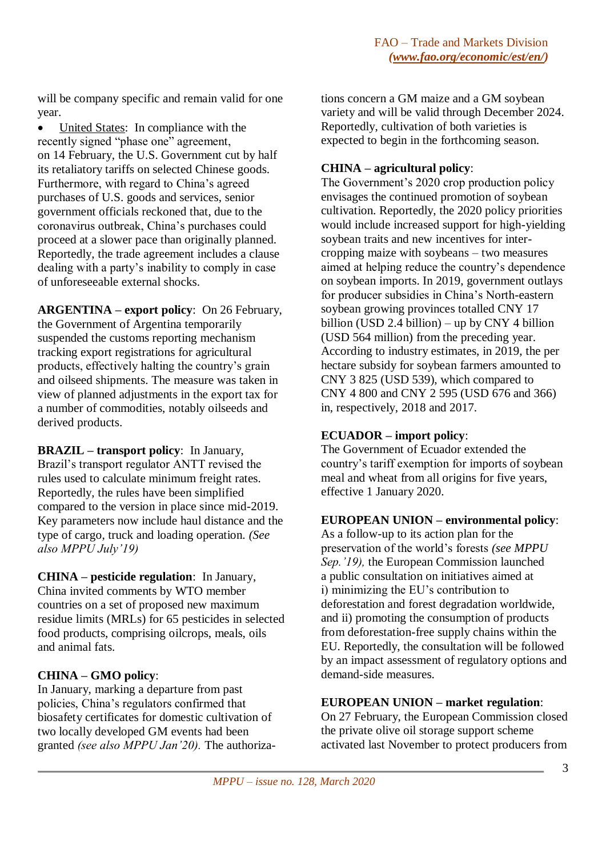will be company specific and remain valid for one year.

• United States: In compliance with the recently signed "phase one" agreement, on 14 February, the U.S. Government cut by half its retaliatory tariffs on selected Chinese goods. Furthermore, with regard to China's agreed purchases of U.S. goods and services, senior government officials reckoned that, due to the coronavirus outbreak, China's purchases could proceed at a slower pace than originally planned. Reportedly, the trade agreement includes a clause dealing with a party's inability to comply in case of unforeseeable external shocks.

**ARGENTINA – export policy**: On 26 February, the Government of Argentina temporarily suspended the customs reporting mechanism tracking export registrations for agricultural products, effectively halting the country's grain and oilseed shipments. The measure was taken in view of planned adjustments in the export tax for a number of commodities, notably oilseeds and derived products.

**BRAZIL – transport policy**: In January, Brazil's transport regulator ANTT revised the rules used to calculate minimum freight rates. Reportedly, the rules have been simplified compared to the version in place since mid-2019. Key parameters now include haul distance and the type of cargo, truck and loading operation. *(See also MPPU July'19)*

**CHINA – pesticide regulation**: In January, China invited comments by WTO member countries on a set of proposed new maximum residue limits (MRLs) for 65 pesticides in selected food products, comprising oilcrops, meals, oils and animal fats.

# **CHINA – GMO policy**:

In January, marking a departure from past policies, China's regulators confirmed that biosafety certificates for domestic cultivation of two locally developed GM events had been granted *(see also MPPU Jan'20).* The authorizations concern a GM maize and a GM soybean variety and will be valid through December 2024. Reportedly, cultivation of both varieties is expected to begin in the forthcoming season.

## **CHINA – agricultural policy**:

The Government's 2020 crop production policy envisages the continued promotion of soybean cultivation. Reportedly, the 2020 policy priorities would include increased support for high-yielding soybean traits and new incentives for intercropping maize with soybeans – two measures aimed at helping reduce the country's dependence on soybean imports. In 2019, government outlays for producer subsidies in China's North-eastern soybean growing provinces totalled CNY 17 billion (USD 2.4 billion) – up by CNY 4 billion (USD 564 million) from the preceding year. According to industry estimates, in 2019, the per hectare subsidy for soybean farmers amounted to CNY 3 825 (USD 539), which compared to CNY 4 800 and CNY 2 595 (USD 676 and 366) in, respectively, 2018 and 2017.

### **ECUADOR – import policy**:

The Government of Ecuador extended the country's tariff exemption for imports of soybean meal and wheat from all origins for five years, effective 1 January 2020.

# **EUROPEAN UNION – environmental policy**:

As a follow-up to its action plan for the preservation of the world's forests *(see MPPU Sep.'19),* the European Commission launched a public consultation on initiatives aimed at i) minimizing the EU's contribution to deforestation and forest degradation worldwide, and ii) promoting the consumption of products from deforestation-free supply chains within the EU. Reportedly, the consultation will be followed by an impact assessment of regulatory options and demand-side measures.

### **EUROPEAN UNION – market regulation**:

On 27 February, the European Commission closed the private olive oil storage support scheme activated last November to protect producers from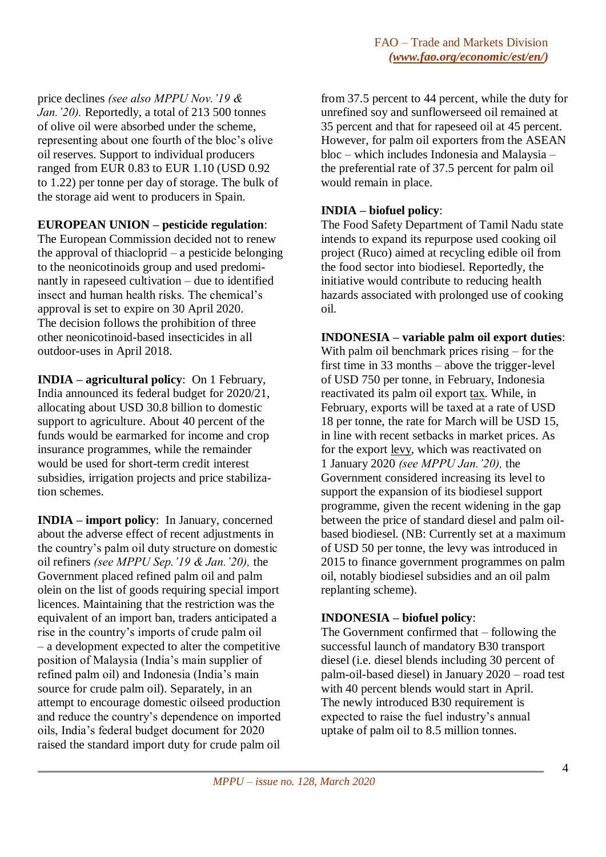price declines *(see also MPPU Nov.'19 & Jan.'20).* Reportedly, a total of 213 500 tonnes of olive oil were absorbed under the scheme, representing about one fourth of the bloc's olive oil reserves. Support to individual producers ranged from EUR 0.83 to EUR 1.10 (USD 0.92 to 1.22) per tonne per day of storage. The bulk of the storage aid went to producers in Spain.

### **EUROPEAN UNION – pesticide regulation**:

The European Commission decided not to renew the approval of thiacloprid – a pesticide belonging to the neonicotinoids group and used predominantly in rapeseed cultivation – due to identified insect and human health risks. The chemical's approval is set to expire on 30 April 2020. The decision follows the prohibition of three other neonicotinoid-based insecticides in all outdoor-uses in April 2018.

**INDIA – agricultural policy**: On 1 February, India announced its federal budget for 2020/21, allocating about USD 30.8 billion to domestic support to agriculture. About 40 percent of the funds would be earmarked for income and crop insurance programmes, while the remainder would be used for short-term credit interest subsidies, irrigation projects and price stabilization schemes.

**INDIA – import policy**: In January, concerned about the adverse effect of recent adjustments in the country's palm oil duty structure on domestic oil refiners *(see MPPU Sep.'19 & Jan.'20),* the Government placed refined palm oil and palm olein on the list of goods requiring special import licences. Maintaining that the restriction was the equivalent of an import ban, traders anticipated a rise in the country's imports of crude palm oil – a development expected to alter the competitive position of Malaysia (India's main supplier of refined palm oil) and Indonesia (India's main source for crude palm oil). Separately, in an attempt to encourage domestic oilseed production and reduce the country's dependence on imported oils, India's federal budget document for 2020 raised the standard import duty for crude palm oil

from 37.5 percent to 44 percent, while the duty for unrefined soy and sunflowerseed oil remained at 35 percent and that for rapeseed oil at 45 percent. However, for palm oil exporters from the ASEAN bloc – which includes Indonesia and Malaysia – the preferential rate of 37.5 percent for palm oil would remain in place.

## **INDIA – biofuel policy**:

The Food Safety Department of Tamil Nadu state intends to expand its repurpose used cooking oil project (Ruco) aimed at recycling edible oil from the food sector into biodiesel. Reportedly, the initiative would contribute to reducing health hazards associated with prolonged use of cooking oil.

### **INDONESIA – variable palm oil export duties**:

With palm oil benchmark prices rising – for the first time in 33 months – above the trigger-level of USD 750 per tonne, in February, Indonesia reactivated its palm oil export tax. While, in February, exports will be taxed at a rate of USD 18 per tonne, the rate for March will be USD 15, in line with recent setbacks in market prices. As for the export levy, which was reactivated on 1 January 2020 *(see MPPU Jan.'20),* the Government considered increasing its level to support the expansion of its biodiesel support programme, given the recent widening in the gap between the price of standard diesel and palm oilbased biodiesel. (NB: Currently set at a maximum of USD 50 per tonne, the levy was introduced in 2015 to finance government programmes on palm oil, notably biodiesel subsidies and an oil palm replanting scheme).

### **INDONESIA – biofuel policy**:

The Government confirmed that – following the successful launch of mandatory B30 transport diesel (i.e. diesel blends including 30 percent of palm-oil-based diesel) in January 2020 – road test with 40 percent blends would start in April. The newly introduced B30 requirement is expected to raise the fuel industry's annual uptake of palm oil to 8.5 million tonnes.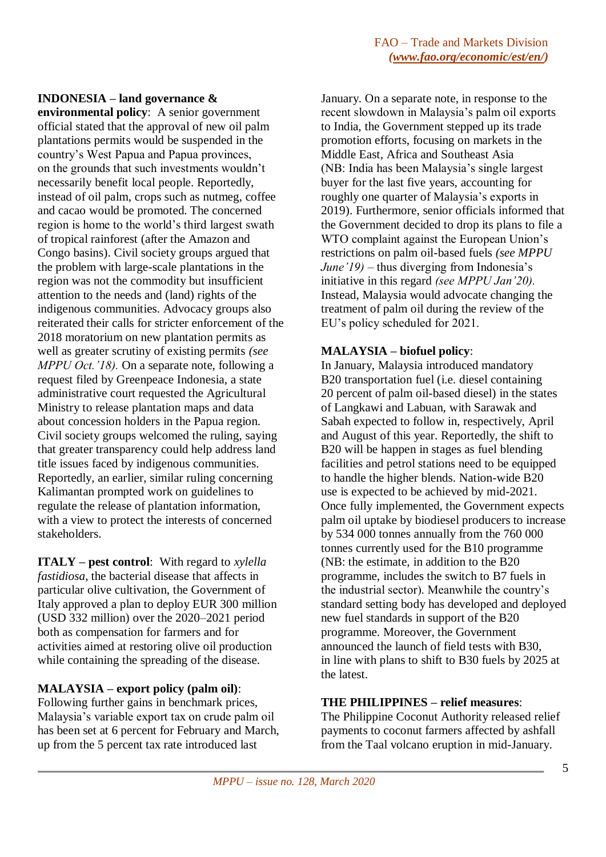### **INDONESIA – land governance &**

**environmental policy**: A senior government official stated that the approval of new oil palm plantations permits would be suspended in the country's West Papua and Papua provinces, on the grounds that such investments wouldn't necessarily benefit local people. Reportedly, instead of oil palm, crops such as nutmeg, coffee and cacao would be promoted. The concerned region is home to the world's third largest swath of tropical rainforest (after the Amazon and Congo basins). Civil society groups argued that the problem with large-scale plantations in the region was not the commodity but insufficient attention to the needs and (land) rights of the indigenous communities. Advocacy groups also reiterated their calls for stricter enforcement of the 2018 moratorium on new plantation permits as well as greater scrutiny of existing permits *(see MPPU Oct.'18).* On a separate note, following a request filed by Greenpeace Indonesia, a state administrative court requested the Agricultural Ministry to release plantation maps and data about concession holders in the Papua region. Civil society groups welcomed the ruling, saying that greater transparency could help address land title issues faced by indigenous communities. Reportedly, an earlier, similar ruling concerning Kalimantan prompted work on guidelines to regulate the release of plantation information, with a view to protect the interests of concerned stakeholders.

**ITALY – pest control**: With regard to *xylella fastidiosa*, the bacterial disease that affects in particular olive cultivation, the Government of Italy approved a plan to deploy EUR 300 million (USD 332 million) over the 2020–2021 period both as compensation for farmers and for activities aimed at restoring olive oil production while containing the spreading of the disease.

### **MALAYSIA – export policy (palm oil)**:

Following further gains in benchmark prices, Malaysia's variable export tax on crude palm oil has been set at 6 percent for February and March, up from the 5 percent tax rate introduced last

January. On a separate note, in response to the recent slowdown in Malaysia's palm oil exports to India, the Government stepped up its trade promotion efforts, focusing on markets in the Middle East, Africa and Southeast Asia (NB: India has been Malaysia's single largest buyer for the last five years, accounting for roughly one quarter of Malaysia's exports in 2019). Furthermore, senior officials informed that the Government decided to drop its plans to file a WTO complaint against the European Union's restrictions on palm oil-based fuels *(see MPPU June'19)* – thus diverging from Indonesia's initiative in this regard *(see MPPU Jan'20).* Instead, Malaysia would advocate changing the treatment of palm oil during the review of the EU's policy scheduled for 2021.

## **MALAYSIA – biofuel policy**:

In January, Malaysia introduced mandatory B20 transportation fuel (i.e. diesel containing 20 percent of palm oil-based diesel) in the states of Langkawi and Labuan, with Sarawak and Sabah expected to follow in, respectively, April and August of this year. Reportedly, the shift to B20 will be happen in stages as fuel blending facilities and petrol stations need to be equipped to handle the higher blends. Nation-wide B20 use is expected to be achieved by mid-2021. Once fully implemented, the Government expects palm oil uptake by biodiesel producers to increase by 534 000 tonnes annually from the 760 000 tonnes currently used for the B10 programme (NB: the estimate, in addition to the B20 programme, includes the switch to B7 fuels in the industrial sector). Meanwhile the country's standard setting body has developed and deployed new fuel standards in support of the B20 programme. Moreover, the Government announced the launch of field tests with B30, in line with plans to shift to B30 fuels by 2025 at the latest.

### **THE PHILIPPINES – relief measures**:

The Philippine Coconut Authority released relief payments to coconut farmers affected by ashfall from the Taal volcano eruption in mid-January.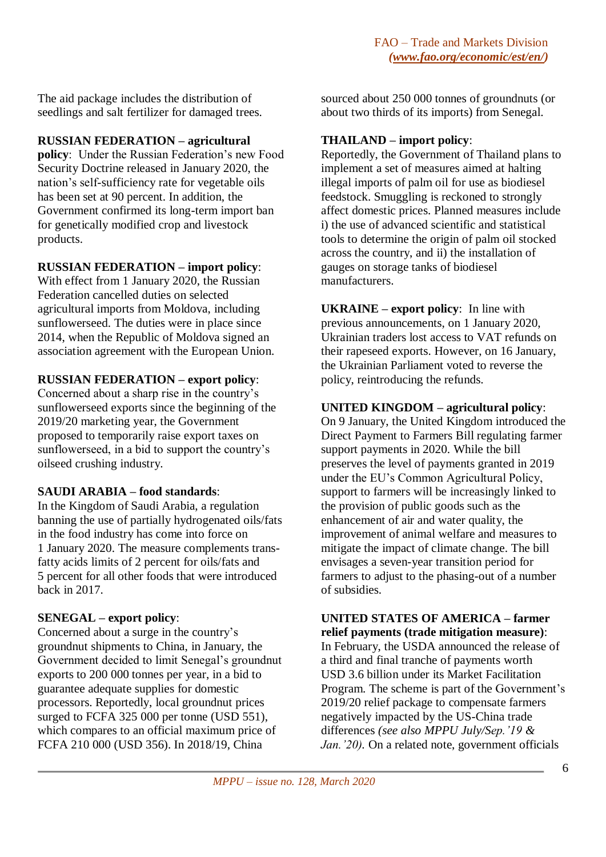The aid package includes the distribution of seedlings and salt fertilizer for damaged trees.

### **RUSSIAN FEDERATION – agricultural**

**policy**: Under the Russian Federation's new Food Security Doctrine released in January 2020, the nation's self-sufficiency rate for vegetable oils has been set at 90 percent. In addition, the Government confirmed its long-term import ban for genetically modified crop and livestock products.

### **RUSSIAN FEDERATION – import policy**:

With effect from 1 January 2020, the Russian Federation cancelled duties on selected agricultural imports from Moldova, including sunflowerseed. The duties were in place since 2014, when the Republic of Moldova signed an association agreement with the European Union.

#### **RUSSIAN FEDERATION – export policy**:

Concerned about a sharp rise in the country's sunflowerseed exports since the beginning of the 2019/20 marketing year, the Government proposed to temporarily raise export taxes on sunflowerseed, in a bid to support the country's oilseed crushing industry.

### **SAUDI ARABIA – food standards**:

In the Kingdom of Saudi Arabia, a regulation banning the use of partially hydrogenated oils/fats in the food industry has come into force on 1 January 2020. The measure complements transfatty acids limits of 2 percent for oils/fats and 5 percent for all other foods that were introduced back in 2017.

### **SENEGAL – export policy**:

Concerned about a surge in the country's groundnut shipments to China, in January, the Government decided to limit Senegal's groundnut exports to 200 000 tonnes per year, in a bid to guarantee adequate supplies for domestic processors. Reportedly, local groundnut prices surged to FCFA 325 000 per tonne (USD 551), which compares to an official maximum price of FCFA 210 000 (USD 356). In 2018/19, China

sourced about 250 000 tonnes of groundnuts (or about two thirds of its imports) from Senegal.

#### **THAILAND – import policy**:

Reportedly, the Government of Thailand plans to implement a set of measures aimed at halting illegal imports of palm oil for use as biodiesel feedstock. Smuggling is reckoned to strongly affect domestic prices. Planned measures include i) the use of advanced scientific and statistical tools to determine the origin of palm oil stocked across the country, and ii) the installation of gauges on storage tanks of biodiesel manufacturers.

**UKRAINE – export policy**: In line with previous announcements, on 1 January 2020, Ukrainian traders lost access to VAT refunds on their rapeseed exports. However, on 16 January, the Ukrainian Parliament voted to reverse the policy, reintroducing the refunds.

### **UNITED KINGDOM – agricultural policy**:

On 9 January, the United Kingdom introduced the Direct Payment to Farmers Bill regulating farmer support payments in 2020. While the bill preserves the level of payments granted in 2019 under the EU's Common Agricultural Policy, support to farmers will be increasingly linked to the provision of public goods such as the enhancement of air and water quality, the improvement of animal welfare and measures to mitigate the impact of climate change. The bill envisages a seven-year transition period for farmers to adjust to the phasing-out of a number of subsidies.

**UNITED STATES OF AMERICA – farmer relief payments (trade mitigation measure)**: In February, the USDA announced the release of a third and final tranche of payments worth USD 3.6 billion under its Market Facilitation Program. The scheme is part of the Government's 2019/20 relief package to compensate farmers negatively impacted by the US-China trade differences *(see also MPPU July/Sep.'19 & Jan.'20).* On a related note, government officials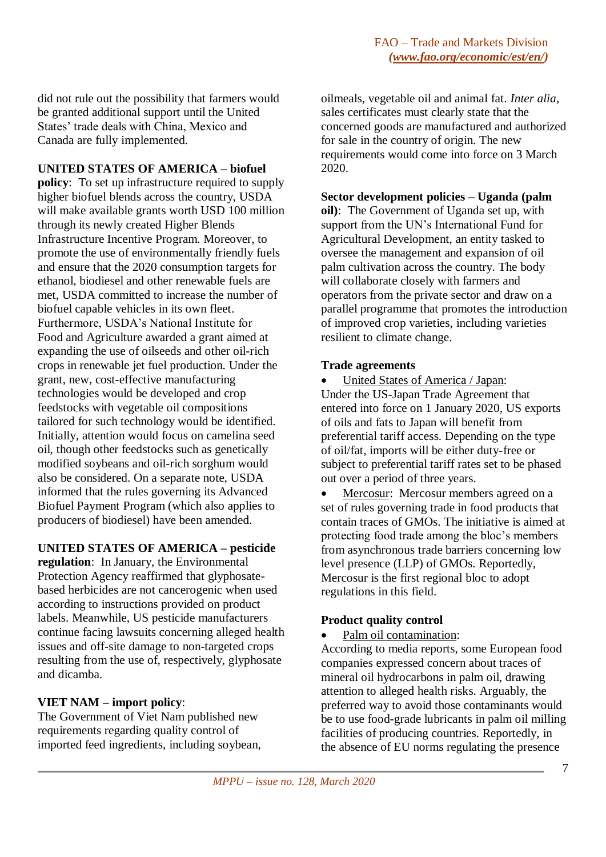did not rule out the possibility that farmers would be granted additional support until the United States' trade deals with China, Mexico and Canada are fully implemented.

### **UNITED STATES OF AMERICA – biofuel**

**policy**: To set up infrastructure required to supply higher biofuel blends across the country, USDA will make available grants worth USD 100 million through its newly created Higher Blends Infrastructure Incentive Program. Moreover, to promote the use of environmentally friendly fuels and ensure that the 2020 consumption targets for ethanol, biodiesel and other renewable fuels are met, USDA committed to increase the number of biofuel capable vehicles in its own fleet. Furthermore, USDA's National Institute for Food and Agriculture awarded a grant aimed at expanding the use of oilseeds and other oil-rich crops in renewable jet fuel production. Under the grant, new, cost-effective manufacturing technologies would be developed and crop feedstocks with vegetable oil compositions tailored for such technology would be identified. Initially, attention would focus on camelina seed oil, though other feedstocks such as genetically modified soybeans and oil-rich sorghum would also be considered. On a separate note, USDA informed that the rules governing its Advanced Biofuel Payment Program (which also applies to producers of biodiesel) have been amended.

### **UNITED STATES OF AMERICA – pesticide**

**regulation**: In January, the Environmental Protection Agency reaffirmed that glyphosatebased herbicides are not cancerogenic when used according to instructions provided on product labels. Meanwhile, US pesticide manufacturers continue facing lawsuits concerning alleged health issues and off-site damage to non-targeted crops resulting from the use of, respectively, glyphosate and dicamba.

# **VIET NAM – import policy**:

The Government of Viet Nam published new requirements regarding quality control of imported feed ingredients, including soybean, oilmeals, vegetable oil and animal fat. *Inter alia*, sales certificates must clearly state that the concerned goods are manufactured and authorized for sale in the country of origin. The new requirements would come into force on 3 March 2020.

# **Sector development policies – Uganda (palm**

**oil)**: The Government of Uganda set up, with support from the UN's International Fund for Agricultural Development, an entity tasked to oversee the management and expansion of oil palm cultivation across the country. The body will collaborate closely with farmers and operators from the private sector and draw on a parallel programme that promotes the introduction of improved crop varieties, including varieties resilient to climate change.

# **Trade agreements**

 United States of America / Japan: Under the US-Japan Trade Agreement that entered into force on 1 January 2020, US exports of oils and fats to Japan will benefit from preferential tariff access. Depending on the type of oil/fat, imports will be either duty-free or subject to preferential tariff rates set to be phased out over a period of three years.

• Mercosur: Mercosur members agreed on a set of rules governing trade in food products that contain traces of GMOs. The initiative is aimed at protecting food trade among the bloc's members from asynchronous trade barriers concerning low level presence (LLP) of GMOs. Reportedly, Mercosur is the first regional bloc to adopt regulations in this field.

# **Product quality control**

Palm oil contamination:

According to media reports, some European food companies expressed concern about traces of mineral oil hydrocarbons in palm oil, drawing attention to alleged health risks. Arguably, the preferred way to avoid those contaminants would be to use food-grade lubricants in palm oil milling facilities of producing countries. Reportedly, in the absence of EU norms regulating the presence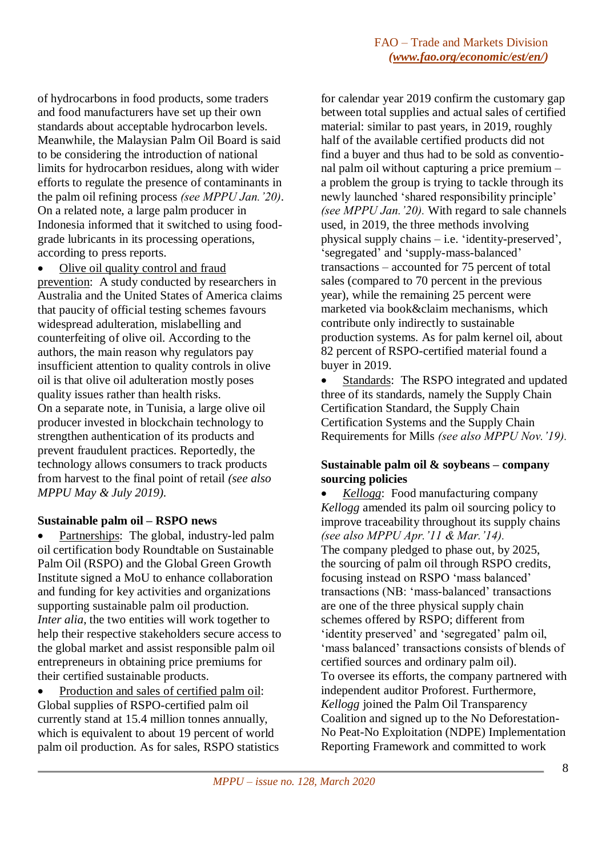of hydrocarbons in food products, some traders and food manufacturers have set up their own standards about acceptable hydrocarbon levels. Meanwhile, the Malaysian Palm Oil Board is said to be considering the introduction of national limits for hydrocarbon residues, along with wider efforts to regulate the presence of contaminants in the palm oil refining process *(see MPPU Jan.'20).* On a related note, a large palm producer in Indonesia informed that it switched to using foodgrade lubricants in its processing operations, according to press reports.

Olive oil quality control and fraud

prevention: A study conducted by researchers in Australia and the United States of America claims that paucity of official testing schemes favours widespread adulteration, mislabelling and counterfeiting of olive oil. According to the authors, the main reason why regulators pay insufficient attention to quality controls in olive oil is that olive oil adulteration mostly poses quality issues rather than health risks. On a separate note, in Tunisia, a large olive oil producer invested in blockchain technology to strengthen authentication of its products and prevent fraudulent practices. Reportedly, the technology allows consumers to track products from harvest to the final point of retail *(see also MPPU May & July 2019).*

### **Sustainable palm oil – RSPO news**

 Partnerships: The global, industry-led palm oil certification body Roundtable on Sustainable Palm Oil (RSPO) and the Global Green Growth Institute signed a MoU to enhance collaboration and funding for key activities and organizations supporting sustainable palm oil production. *Inter alia*, the two entities will work together to help their respective stakeholders secure access to the global market and assist responsible palm oil entrepreneurs in obtaining price premiums for their certified sustainable products.

 Production and sales of certified palm oil: Global supplies of RSPO-certified palm oil currently stand at 15.4 million tonnes annually, which is equivalent to about 19 percent of world palm oil production. As for sales, RSPO statistics for calendar year 2019 confirm the customary gap between total supplies and actual sales of certified material: similar to past years, in 2019, roughly half of the available certified products did not find a buyer and thus had to be sold as conventional palm oil without capturing a price premium – a problem the group is trying to tackle through its newly launched 'shared responsibility principle' *(see MPPU Jan.'20).* With regard to sale channels used, in 2019, the three methods involving physical supply chains – i.e. 'identity-preserved', 'segregated' and 'supply-mass-balanced' transactions – accounted for 75 percent of total sales (compared to 70 percent in the previous year), while the remaining 25 percent were marketed via book&claim mechanisms, which contribute only indirectly to sustainable production systems. As for palm kernel oil, about 82 percent of RSPO-certified material found a buyer in 2019.

 Standards: The RSPO integrated and updated three of its standards, namely the Supply Chain Certification Standard, the Supply Chain Certification Systems and the Supply Chain Requirements for Mills *(see also MPPU Nov.'19).*

### **Sustainable palm oil & soybeans – company sourcing policies**

 *Kellogg*: Food manufacturing company *Kellogg* amended its palm oil sourcing policy to improve traceability throughout its supply chains *(see also MPPU Apr.'11 & Mar.'14).* The company pledged to phase out, by 2025, the sourcing of palm oil through RSPO credits, focusing instead on RSPO 'mass balanced' transactions (NB: 'mass-balanced' transactions are one of the three physical supply chain schemes offered by RSPO; different from 'identity preserved' and 'segregated' palm oil, 'mass balanced' transactions consists of blends of certified sources and ordinary palm oil). To oversee its efforts, the company partnered with independent auditor Proforest. Furthermore, *Kellogg* joined the Palm Oil Transparency Coalition and signed up to the No Deforestation-No Peat-No Exploitation (NDPE) Implementation Reporting Framework and committed to work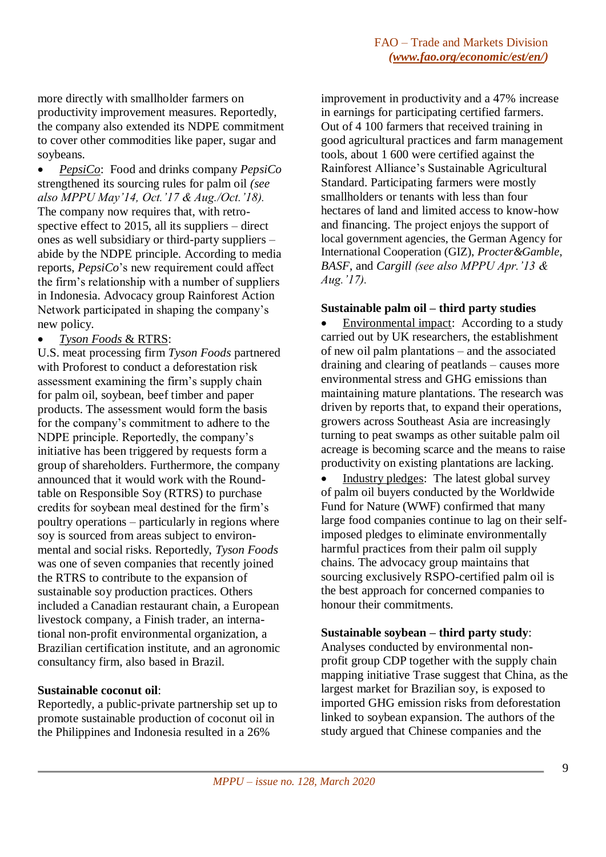more directly with smallholder farmers on productivity improvement measures. Reportedly, the company also extended its NDPE commitment to cover other commodities like paper, sugar and soybeans.

 *PepsiCo*: Food and drinks company *PepsiCo* strengthened its sourcing rules for palm oil *(see also MPPU May'14, Oct.'17 & Aug./Oct.'18).* The company now requires that, with retrospective effect to 2015, all its suppliers – direct ones as well subsidiary or third-party suppliers – abide by the NDPE principle. According to media reports, *PepsiCo*'s new requirement could affect the firm's relationship with a number of suppliers in Indonesia. Advocacy group Rainforest Action Network participated in shaping the company's new policy.

#### *Tyson Foods* & RTRS:

U.S. meat processing firm *Tyson Foods* partnered with Proforest to conduct a deforestation risk assessment examining the firm's supply chain for palm oil, soybean, beef timber and paper products. The assessment would form the basis for the company's commitment to adhere to the NDPE principle. Reportedly, the company's initiative has been triggered by requests form a group of shareholders. Furthermore, the company announced that it would work with the Roundtable on Responsible Soy (RTRS) to purchase credits for soybean meal destined for the firm's poultry operations – particularly in regions where soy is sourced from areas subject to environmental and social risks. Reportedly, *Tyson Foods* was one of seven companies that recently joined the RTRS to contribute to the expansion of sustainable soy production practices. Others included a Canadian restaurant chain, a European livestock company, a Finish trader, an international non-profit environmental organization, a Brazilian certification institute, and an agronomic consultancy firm, also based in Brazil.

#### **Sustainable coconut oil**:

Reportedly, a public-private partnership set up to promote sustainable production of coconut oil in the Philippines and Indonesia resulted in a 26%

improvement in productivity and a 47% increase in earnings for participating certified farmers. Out of 4 100 farmers that received training in good agricultural practices and farm management tools, about 1 600 were certified against the Rainforest Alliance's Sustainable Agricultural Standard. Participating farmers were mostly smallholders or tenants with less than four hectares of land and limited access to know-how and financing. The project enjoys the support of local government agencies, the German Agency for International Cooperation (GIZ), *Procter&Gamble*, *BASF*, and *Cargill (see also MPPU Apr.'13 & Aug.'17).*

#### **Sustainable palm oil – third party studies**

 Environmental impact: According to a study carried out by UK researchers, the establishment of new oil palm plantations – and the associated draining and clearing of peatlands – causes more environmental stress and GHG emissions than maintaining mature plantations. The research was driven by reports that, to expand their operations, growers across Southeast Asia are increasingly turning to peat swamps as other suitable palm oil acreage is becoming scarce and the means to raise productivity on existing plantations are lacking.

 Industry pledges: The latest global survey of palm oil buyers conducted by the Worldwide Fund for Nature (WWF) confirmed that many large food companies continue to lag on their selfimposed pledges to eliminate environmentally harmful practices from their palm oil supply chains. The advocacy group maintains that sourcing exclusively RSPO-certified palm oil is the best approach for concerned companies to honour their commitments.

#### **Sustainable soybean – third party study**:

Analyses conducted by environmental nonprofit group CDP together with the supply chain mapping initiative Trase suggest that China, as the largest market for Brazilian soy, is exposed to imported GHG emission risks from deforestation linked to soybean expansion. The authors of the study argued that Chinese companies and the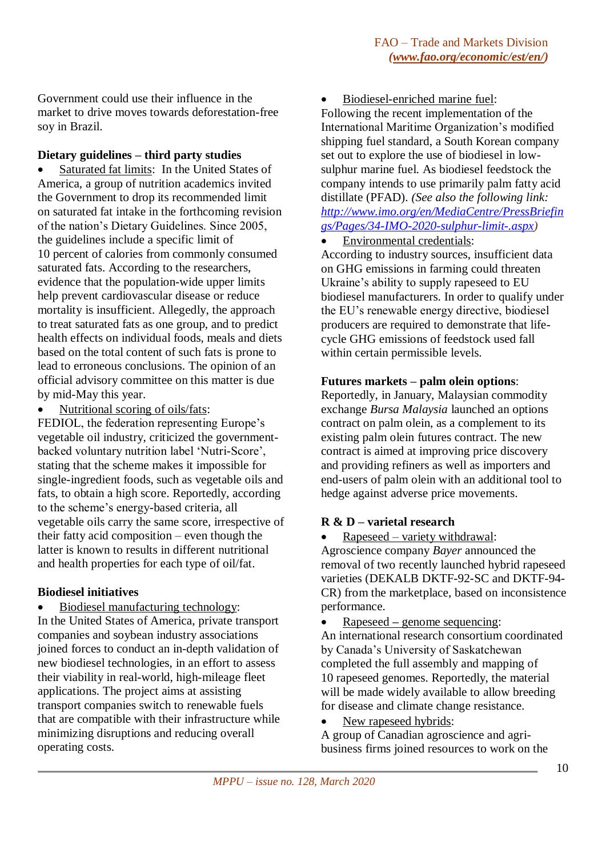Government could use their influence in the market to drive moves towards deforestation-free soy in Brazil.

#### **Dietary guidelines – third party studies**

 Saturated fat limits: In the United States of America, a group of nutrition academics invited the Government to drop its recommended limit on saturated fat intake in the forthcoming revision of the nation's Dietary Guidelines. Since 2005, the guidelines include a specific limit of 10 percent of calories from commonly consumed saturated fats. According to the researchers, evidence that the population-wide upper limits help prevent cardiovascular disease or reduce mortality is insufficient. Allegedly, the approach to treat saturated fats as one group, and to predict health effects on individual foods, meals and diets based on the total content of such fats is prone to lead to erroneous conclusions. The opinion of an official advisory committee on this matter is due by mid-May this year.

Nutritional scoring of oils/fats:

FEDIOL, the federation representing Europe's vegetable oil industry, criticized the governmentbacked voluntary nutrition label 'Nutri-Score', stating that the scheme makes it impossible for single-ingredient foods, such as vegetable oils and fats, to obtain a high score. Reportedly, according to the scheme's energy-based criteria, all vegetable oils carry the same score, irrespective of their fatty acid composition – even though the latter is known to results in different nutritional and health properties for each type of oil/fat.

### **Biodiesel initiatives**

Biodiesel manufacturing technology:

In the United States of America, private transport companies and soybean industry associations joined forces to conduct an in-depth validation of new biodiesel technologies, in an effort to assess their viability in real-world, high-mileage fleet applications. The project aims at assisting transport companies switch to renewable fuels that are compatible with their infrastructure while minimizing disruptions and reducing overall operating costs.

Biodiesel-enriched marine fuel:

Following the recent implementation of the International Maritime Organization's modified shipping fuel standard, a South Korean company set out to explore the use of biodiesel in lowsulphur marine fuel. As biodiesel feedstock the company intends to use primarily palm fatty acid distillate (PFAD). *(See also the following link: [http://www.imo.org/en/MediaCentre/PressBriefin](http://www.imo.org/en/MediaCentre/PressBriefings/Pages/34-IMO-2020-sulphur-limit-.aspx) [gs/Pages/34-IMO-2020-sulphur-limit-.aspx](http://www.imo.org/en/MediaCentre/PressBriefings/Pages/34-IMO-2020-sulphur-limit-.aspx)[\)](http://www.imo.org/en/MediaCentre/PressBriefings/Pages/34-IMO-2020-sulphur-limit-.aspx))*

Environmental credentials:

According to industry sources, insufficient data on GHG emissions in farming could threaten Ukraine's ability to supply rapeseed to EU biodiesel manufacturers. In order to qualify under the EU's renewable energy directive, biodiesel producers are required to demonstrate that lifecycle GHG emissions of feedstock used fall within certain permissible levels.

#### **Futures markets – palm olein options**:

Reportedly, in January, Malaysian commodity exchange *Bursa Malaysia* launched an options contract on palm olein, as a complement to its existing palm olein futures contract. The new contract is aimed at improving price discovery and providing refiners as well as importers and end-users of palm olein with an additional tool to hedge against adverse price movements.

### **R & D – varietal research**

Rapeseed – variety withdrawal:

Agroscience company *Bayer* announced the removal of two recently launched hybrid rapeseed varieties (DEKALB DKTF-92-SC and DKTF-94- CR) from the marketplace, based on inconsistence performance.

• Rapeseed – genome sequencing:

An international research consortium coordinated by Canada's University of Saskatchewan completed the full assembly and mapping of 10 rapeseed genomes. Reportedly, the material will be made widely available to allow breeding for disease and climate change resistance.

New rapeseed hybrids:

A group of Canadian agroscience and agribusiness firms joined resources to work on the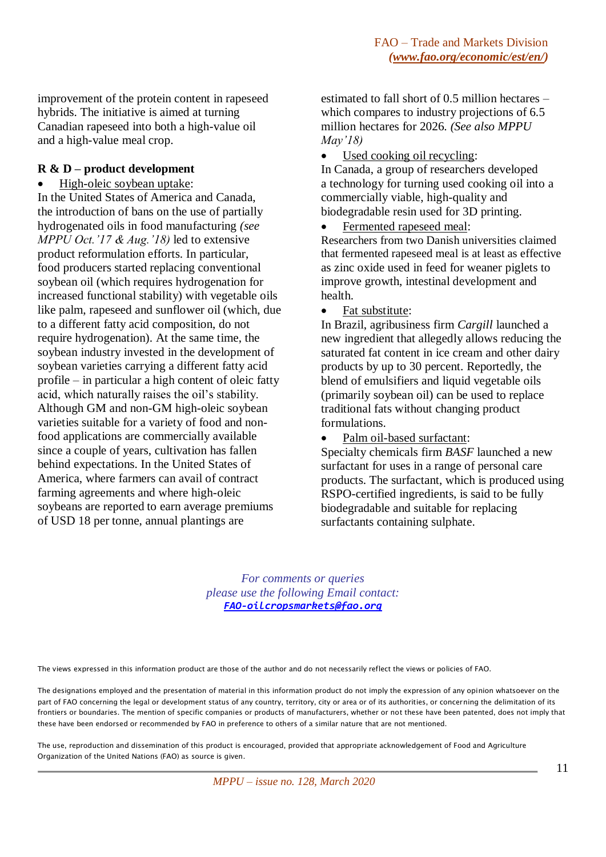improvement of the protein content in rapeseed hybrids. The initiative is aimed at turning Canadian rapeseed into both a high-value oil and a high-value meal crop.

#### **R & D – product development**

High-oleic soybean uptake:

In the United States of America and Canada, the introduction of bans on the use of partially hydrogenated oils in food manufacturing *(see MPPU Oct.'17 & Aug.'18)* led to extensive product reformulation efforts. In particular, food producers started replacing conventional soybean oil (which requires hydrogenation for increased functional stability) with vegetable oils like palm, rapeseed and sunflower oil (which, due to a different fatty acid composition, do not require hydrogenation). At the same time, the soybean industry invested in the development of soybean varieties carrying a different fatty acid profile – in particular a high content of oleic fatty acid, which naturally raises the oil's stability. Although GM and non-GM high-oleic soybean varieties suitable for a variety of food and nonfood applications are commercially available since a couple of years, cultivation has fallen behind expectations. In the United States of America, where farmers can avail of contract farming agreements and where high-oleic soybeans are reported to earn average premiums of USD 18 per tonne, annual plantings are

estimated to fall short of 0.5 million hectares – which compares to industry projections of 6.5 million hectares for 2026. *(See also MPPU May'18)*

• Used cooking oil recycling:

In Canada, a group of researchers developed a technology for turning used cooking oil into a commercially viable, high-quality and biodegradable resin used for 3D printing.

Fermented rapeseed meal:

Researchers from two Danish universities claimed that fermented rapeseed meal is at least as effective as zinc oxide used in feed for weaner piglets to improve growth, intestinal development and health.

Fat substitute:

In Brazil, agribusiness firm *Cargill* launched a new ingredient that allegedly allows reducing the saturated fat content in ice cream and other dairy products by up to 30 percent. Reportedly, the blend of emulsifiers and liquid vegetable oils (primarily soybean oil) can be used to replace traditional fats without changing product formulations.

Palm oil-based surfactant:

Specialty chemicals firm *BASF* launched a new surfactant for uses in a range of personal care products. The surfactant, which is produced using RSPO-certified ingredients, is said to be fully biodegradable and suitable for replacing surfactants containing sulphate.

*For comments or queries please use the following Email contact: [FAO-oilcropsmarkets@fao.org](mailto:FAO-oilcropsmarkets@fao.org)*

The views expressed in this information product are those of the author and do not necessarily reflect the views or policies of FAO.

The designations employed and the presentation of material in this information product do not imply the expression of any opinion whatsoever on the part of FAO concerning the legal or development status of any country, territory, city or area or of its authorities, or concerning the delimitation of its frontiers or boundaries. The mention of specific companies or products of manufacturers, whether or not these have been patented, does not imply that these have been endorsed or recommended by FAO in preference to others of a similar nature that are not mentioned.

The use, reproduction and dissemination of this product is encouraged, provided that appropriate acknowledgement of Food and Agriculture Organization of the United Nations (FAO) as source is given.